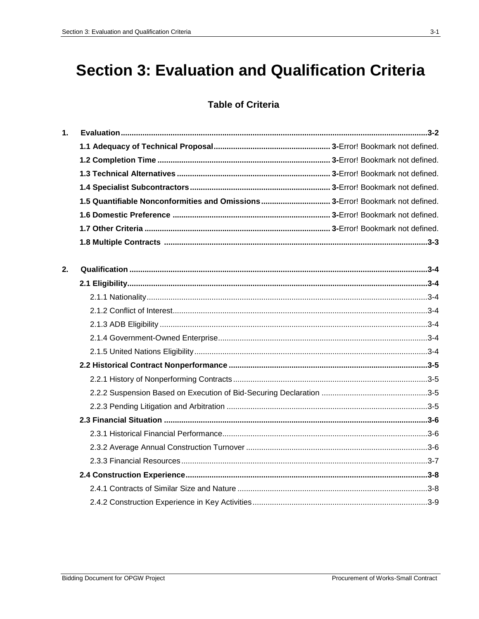# **Section 3: Evaluation and Qualification Criteria**

## **Table of Criteria**

| 1. |  |
|----|--|
|    |  |
|    |  |
|    |  |
|    |  |
|    |  |
|    |  |
|    |  |
|    |  |
| 2. |  |
|    |  |
|    |  |
|    |  |
|    |  |
|    |  |
|    |  |
|    |  |
|    |  |
|    |  |
|    |  |
|    |  |
|    |  |
|    |  |
|    |  |
|    |  |
|    |  |
|    |  |
|    |  |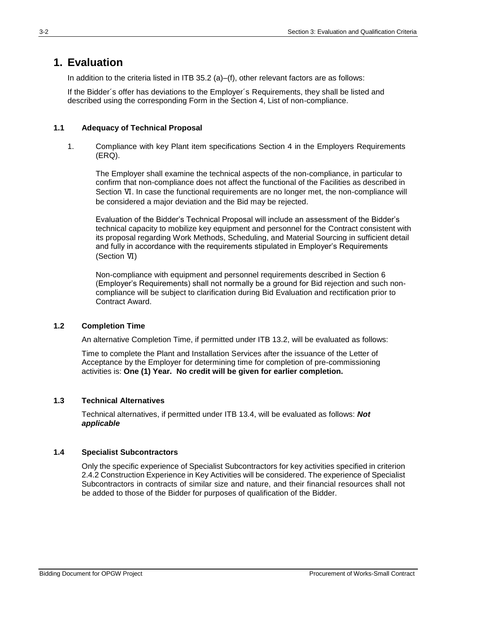## **1. Evaluation**

In addition to the criteria listed in ITB 35.2 (a)–(f), other relevant factors are as follows:

If the Bidder´s offer has deviations to the Employer´s Requirements, they shall be listed and described using the corresponding Form in the Section 4, List of non-compliance.

#### **1.1 Adequacy of Technical Proposal**

1. Compliance with key Plant item specifications Section 4 in the Employers Requirements (ERQ).

The Employer shall examine the technical aspects of the non-compliance, in particular to confirm that non-compliance does not affect the functional of the Facilities as described in Section Ⅵ. In case the functional requirements are no longer met, the non-compliance will be considered a major deviation and the Bid may be rejected.

Evaluation of the Bidder's Technical Proposal will include an assessment of the Bidder's technical capacity to mobilize key equipment and personnel for the Contract consistent with its proposal regarding Work Methods, Scheduling, and Material Sourcing in sufficient detail and fully in accordance with the requirements stipulated in Employer's Requirements (Section Ⅵ)

Non-compliance with equipment and personnel requirements described in Section 6 (Employer's Requirements) shall not normally be a ground for Bid rejection and such noncompliance will be subject to clarification during Bid Evaluation and rectification prior to Contract Award.

#### **1.2 Completion Time**

An alternative Completion Time, if permitted under ITB 13.2, will be evaluated as follows:

Time to complete the Plant and Installation Services after the issuance of the Letter of Acceptance by the Employer for determining time for completion of pre-commissioning activities is: **One (1) Year. No credit will be given for earlier completion.**

#### **1.3 Technical Alternatives**

Technical alternatives, if permitted under ITB 13.4, will be evaluated as follows: *Not applicable* 

#### **1.4 Specialist Subcontractors**

Only the specific experience of Specialist Subcontractors for key activities specified in criterion 2.4.2 Construction Experience in Key Activities will be considered. The experience of Specialist Subcontractors in contracts of similar size and nature, and their financial resources shall not be added to those of the Bidder for purposes of qualification of the Bidder.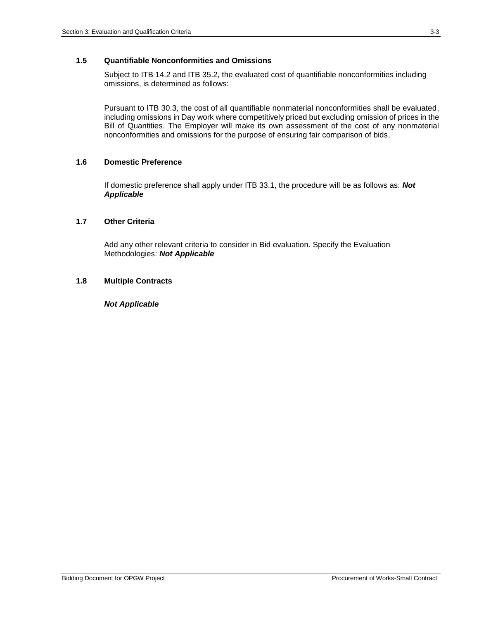#### **1.5 Quantifiable Nonconformities and Omissions**

Subject to ITB 14.2 and ITB 35.2, the evaluated cost of quantifiable nonconformities including omissions, is determined as follows:

Pursuant to ITB 30.3, the cost of all quantifiable nonmaterial nonconformities shall be evaluated, including omissions in Day work where competitively priced but excluding omission of prices in the Bill of Quantities. The Employer will make its own assessment of the cost of any nonmaterial nonconformities and omissions for the purpose of ensuring fair comparison of bids.

#### **1.6 Domestic Preference**

If domestic preference shall apply under ITB 33.1, the procedure will be as follows as: *Not Applicable*

#### **1.7 Other Criteria**

Add any other relevant criteria to consider in Bid evaluation. Specify the Evaluation Methodologies: *Not Applicable*

#### **1.8 Multiple Contracts**

#### *Not Applicable*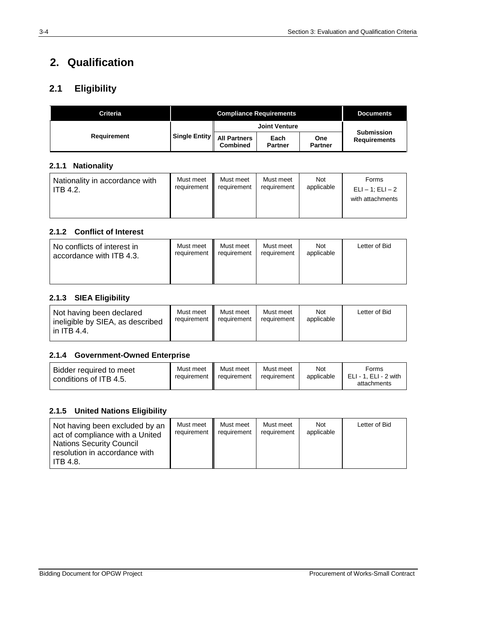## **2. Qualification**

## **2.1 Eligibility**

| <b>Criteria</b>    |                                            | <b>Documents</b> |                        |                       |                                          |
|--------------------|--------------------------------------------|------------------|------------------------|-----------------------|------------------------------------------|
|                    |                                            |                  |                        |                       |                                          |
| <b>Requirement</b> | Single Entity    All Partners <sup> </sup> | Combined         | Each<br><b>Partner</b> | One<br><b>Partner</b> | <b>Submission</b><br><b>Requirements</b> |

#### **2.1.1 Nationality**

| Nationality in accordance with<br><b>ITB 4.2.</b> | Must meet<br>requirement | Must meet<br>requirement | Must meet<br>requirement | <b>Not</b><br>applicable | Forms<br>$ELI - 1$ ; $ELI - 2$<br>with attachments |
|---------------------------------------------------|--------------------------|--------------------------|--------------------------|--------------------------|----------------------------------------------------|
|                                                   |                          |                          |                          |                          |                                                    |

#### **2.1.2 Conflict of Interest**

| No conflicts of interest in | Must meet   | Must meet   | Must meet   | Not        | Letter of Bid |
|-----------------------------|-------------|-------------|-------------|------------|---------------|
| accordance with ITB 4.3.    | requirement | requirement | requirement | applicable |               |

#### **2.1.3 SIEA Eligibility**

| Not having been declared<br>ineligible by SIEA, as described<br>in ITB 4.4. | Must meet | Must meet<br>requirement II requirement | Must meet<br>requirement | <b>Not</b><br>applicable | Letter of Bid |
|-----------------------------------------------------------------------------|-----------|-----------------------------------------|--------------------------|--------------------------|---------------|
|-----------------------------------------------------------------------------|-----------|-----------------------------------------|--------------------------|--------------------------|---------------|

#### **2.1.4 Government-Owned Enterprise**

| Bidder required to meet<br>conditions of ITB 4.5. | Must meet<br>requirement | Must meet<br>requirement | Must meet<br>requirement | Not<br>applicable | Forms<br>ELI - 1. ELI - 2 with<br>attachments |
|---------------------------------------------------|--------------------------|--------------------------|--------------------------|-------------------|-----------------------------------------------|
|---------------------------------------------------|--------------------------|--------------------------|--------------------------|-------------------|-----------------------------------------------|

#### **2.1.5 United Nations Eligibility**

| Not having been excluded by an<br>act of compliance with a United<br><b>Nations Security Council</b><br>resolution in accordance with<br><b>ITB 4.8.</b> | Must meet<br>requirement | Must meet<br>requirement | Must meet<br>requirement | Not<br>applicable | Letter of Bid |
|----------------------------------------------------------------------------------------------------------------------------------------------------------|--------------------------|--------------------------|--------------------------|-------------------|---------------|
|----------------------------------------------------------------------------------------------------------------------------------------------------------|--------------------------|--------------------------|--------------------------|-------------------|---------------|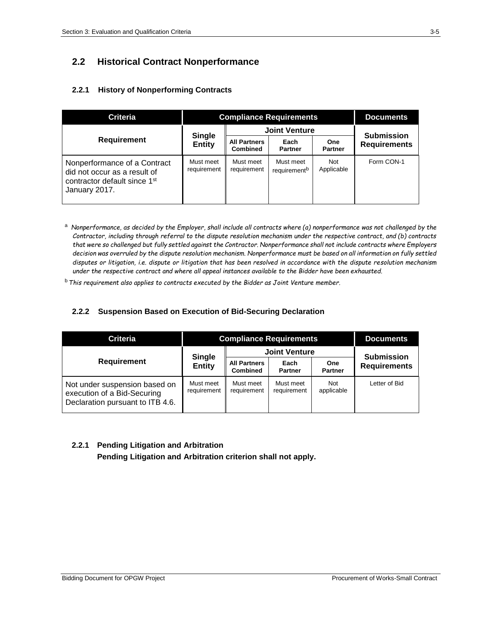## **2.2 Historical Contract Nonperformance**

#### **2.2.1 History of Nonperforming Contracts**

| <b>Criteria</b>                                                                                                           | <b>Compliance Requirements</b> |                                        |                                       |                          | <b>Documents</b>    |
|---------------------------------------------------------------------------------------------------------------------------|--------------------------------|----------------------------------------|---------------------------------------|--------------------------|---------------------|
|                                                                                                                           | <b>Single</b>                  | <b>Joint Venture</b>                   |                                       | <b>Submission</b>        |                     |
| <b>Requirement</b>                                                                                                        | <b>Entity</b>                  | <b>All Partners</b><br><b>Combined</b> | Each<br><b>Partner</b>                | One<br><b>Partner</b>    | <b>Requirements</b> |
| Nonperformance of a Contract<br>did not occur as a result of<br>contractor default since 1 <sup>st</sup><br>January 2017. | Must meet<br>requirement       | Must meet<br>requirement               | Must meet<br>requirement <sup>b</sup> | <b>Not</b><br>Applicable | Form CON-1          |

<sup>a</sup> *Nonperformance, as decided by the Employer, shall include all contracts where (a) nonperformance was not challenged by the Contractor, including through referral to the dispute resolution mechanism under the respective contract, and (b) contracts that were so challenged but fully settled against the Contractor. Nonperformance shall not include contracts where Employers decision was overruled by the dispute resolution mechanism. Nonperformance must be based on all information on fully settled disputes or litigation, i.e. dispute or litigation that has been resolved in accordance with the dispute resolution mechanism under the respective contract and where all appeal instances available to the Bidder have been exhausted.*

<sup>b</sup> *This requirement also applies to contracts executed by the Bidder as Joint Venture member.*

#### **2.2.2 Suspension Based on Execution of Bid-Securing Declaration**

| <b>Criteria</b>                                                                                  | <b>Compliance Requirements</b> |                                        |                          |                          | <b>Documents</b>    |
|--------------------------------------------------------------------------------------------------|--------------------------------|----------------------------------------|--------------------------|--------------------------|---------------------|
|                                                                                                  | <b>Single</b><br><b>Entity</b> | <b>Joint Venture</b>                   | <b>Submission</b>        |                          |                     |
| <b>Requirement</b>                                                                               |                                | <b>All Partners</b><br><b>Combined</b> | Each<br><b>Partner</b>   | One<br><b>Partner</b>    | <b>Requirements</b> |
| Not under suspension based on<br>execution of a Bid-Securing<br>Declaration pursuant to ITB 4.6. | Must meet<br>requirement       | Must meet<br>requirement               | Must meet<br>requirement | <b>Not</b><br>applicable | Letter of Bid       |

#### **2.2.1 Pending Litigation and Arbitration**

**Pending Litigation and Arbitration criterion shall not apply.**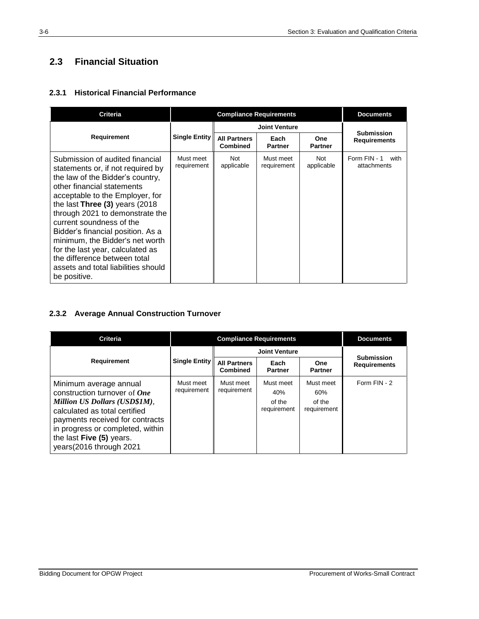## **2.3 Financial Situation**

#### **2.3.1 Historical Financial Performance**

| <b>Criteria</b>                                                                                                                                                                                                                                                                                                                                                                                                                                                                    |                          | <b>Documents</b>                       |                          |                              |                                     |
|------------------------------------------------------------------------------------------------------------------------------------------------------------------------------------------------------------------------------------------------------------------------------------------------------------------------------------------------------------------------------------------------------------------------------------------------------------------------------------|--------------------------|----------------------------------------|--------------------------|------------------------------|-------------------------------------|
|                                                                                                                                                                                                                                                                                                                                                                                                                                                                                    |                          |                                        | <b>Joint Venture</b>     |                              | <b>Submission</b>                   |
| Requirement                                                                                                                                                                                                                                                                                                                                                                                                                                                                        | <b>Single Entity</b>     | <b>All Partners</b><br><b>Combined</b> | Each<br><b>Partner</b>   | <b>One</b><br><b>Partner</b> | <b>Requirements</b>                 |
| Submission of audited financial<br>statements or, if not required by<br>the law of the Bidder's country,<br>other financial statements<br>acceptable to the Employer, for<br>the last Three $(3)$ years $(2018)$<br>through 2021 to demonstrate the<br>current soundness of the<br>Bidder's financial position. As a<br>minimum, the Bidder's net worth<br>for the last year, calculated as<br>the difference between total<br>assets and total liabilities should<br>be positive. | Must meet<br>requirement | Not<br>applicable                      | Must meet<br>requirement | Not<br>applicable            | Form FIN - 1<br>with<br>attachments |

#### **2.3.2 Average Annual Construction Turnover**

| <b>Criteria</b>                                                                                                                                                                                                                                        |                          | <b>Compliance Requirements</b>         |                                           |                                           |                                          |  |
|--------------------------------------------------------------------------------------------------------------------------------------------------------------------------------------------------------------------------------------------------------|--------------------------|----------------------------------------|-------------------------------------------|-------------------------------------------|------------------------------------------|--|
|                                                                                                                                                                                                                                                        |                          |                                        | <b>Joint Venture</b>                      |                                           |                                          |  |
| Requirement                                                                                                                                                                                                                                            | Single Entity            | <b>All Partners</b><br><b>Combined</b> | Each<br><b>Partner</b>                    | One<br><b>Partner</b>                     | <b>Submission</b><br><b>Requirements</b> |  |
| Minimum average annual<br>construction turnover of One<br>Million US Dollars (USD\$1M),<br>calculated as total certified<br>payments received for contracts<br>in progress or completed, within<br>the last Five (5) years.<br>years(2016 through 2021 | Must meet<br>requirement | Must meet<br>requirement               | Must meet<br>40%<br>of the<br>requirement | Must meet<br>60%<br>of the<br>requirement | Form FIN - 2                             |  |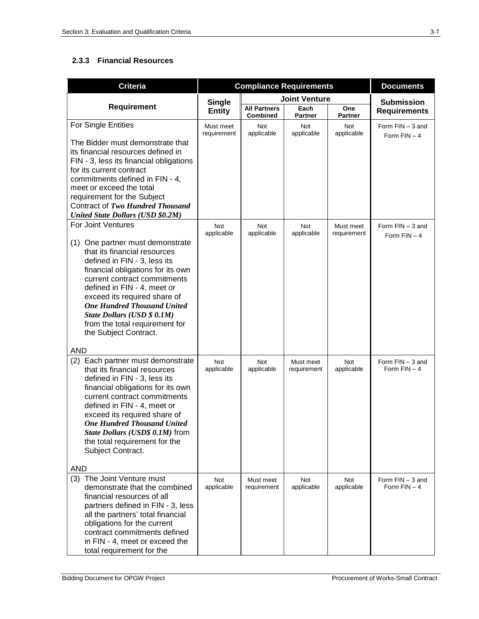#### **2.3.3 Financial Resources**

| <b>Criteria</b>                                                                                                                                                                                                                                                                                                                                                                              | <b>Compliance Requirements</b> | <b>Documents</b>                       |                          |                          |                                      |
|----------------------------------------------------------------------------------------------------------------------------------------------------------------------------------------------------------------------------------------------------------------------------------------------------------------------------------------------------------------------------------------------|--------------------------------|----------------------------------------|--------------------------|--------------------------|--------------------------------------|
|                                                                                                                                                                                                                                                                                                                                                                                              | <b>Single</b>                  |                                        | <b>Joint Venture</b>     |                          | <b>Submission</b>                    |
| <b>Requirement</b>                                                                                                                                                                                                                                                                                                                                                                           | <b>Entity</b>                  | <b>All Partners</b><br><b>Combined</b> | Each<br><b>Partner</b>   | One<br><b>Partner</b>    | <b>Requirements</b>                  |
| For Single Entities                                                                                                                                                                                                                                                                                                                                                                          | Must meet<br>requirement       | <b>Not</b><br>applicable               | <b>Not</b><br>applicable | Not<br>applicable        | Form $FIN - 3$ and<br>Form $FIN - 4$ |
| The Bidder must demonstrate that<br>its financial resources defined in<br>FIN - 3, less its financial obligations<br>for its current contract<br>commitments defined in FIN - 4,<br>meet or exceed the total<br>requirement for the Subject<br>Contract of Two Hundred Thousand<br><b>United State Dollars (USD \$0.2M)</b><br><b>For Joint Ventures</b><br>(1) One partner must demonstrate | Not<br>applicable              | <b>Not</b><br>applicable               | Not<br>applicable        | Must meet<br>requirement | Form $FIN - 3$ and<br>Form $FIN - 4$ |
| that its financial resources<br>defined in FIN - 3, less its<br>financial obligations for its own<br>current contract commitments<br>defined in FIN - 4, meet or<br>exceed its required share of<br><b>One Hundred Thousand United</b><br>State Dollars (USD \$ 0.1M)<br>from the total requirement for<br>the Subject Contract.                                                             |                                |                                        |                          |                          |                                      |
| <b>AND</b>                                                                                                                                                                                                                                                                                                                                                                                   |                                |                                        |                          |                          |                                      |
| Each partner must demonstrate<br>(2)<br>that its financial resources<br>defined in FIN - 3, less its<br>financial obligations for its own<br>current contract commitments<br>defined in FIN - 4, meet or<br>exceed its required share of<br><b>One Hundred Thousand United</b><br>State Dollars (USD\$ 0.1M) from<br>the total requirement for the<br>Subject Contract.                      | Not<br>applicable              | Not<br>applicable                      | Must meet<br>requirement | Not<br>applicable        | Form $FIN - 3$ and<br>Form $FIN - 4$ |
| <b>AND</b>                                                                                                                                                                                                                                                                                                                                                                                   |                                |                                        |                          |                          |                                      |
| (3) The Joint Venture must<br>demonstrate that the combined<br>financial resources of all<br>partners defined in FIN - 3, less<br>all the partners' total financial<br>obligations for the current<br>contract commitments defined<br>in FIN - 4, meet or exceed the<br>total requirement for the                                                                                            | Not<br>applicable              | Must meet<br>requirement               | Not<br>applicable        | Not<br>applicable        | Form $FIN - 3$ and<br>Form $FIN - 4$ |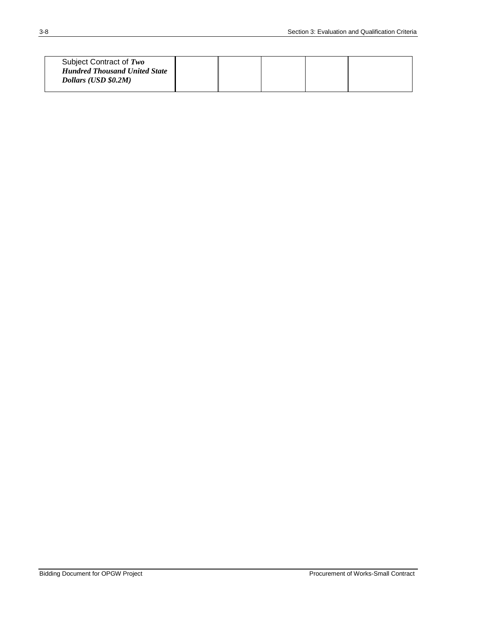| Subject Contract of Two<br><b>Hundred Thousand United State</b><br>Dollars (USD \$0.2M) |  |  |  |  |  |
|-----------------------------------------------------------------------------------------|--|--|--|--|--|
|-----------------------------------------------------------------------------------------|--|--|--|--|--|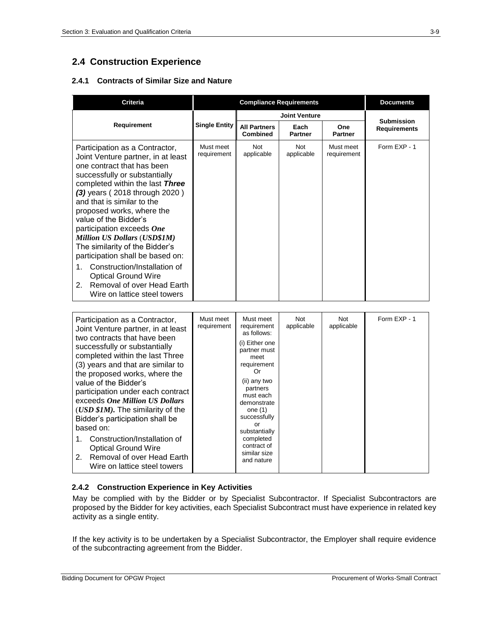## **2.4 Construction Experience**

#### **2.4.1 Contracts of Similar Size and Nature**

| <b>Criteria</b>                                                                                                                                                                                                                                                                                                                                                                                                                                                                                                                                                               | <b>Compliance Requirements</b> |                                        |                          | <b>Documents</b>         |                     |
|-------------------------------------------------------------------------------------------------------------------------------------------------------------------------------------------------------------------------------------------------------------------------------------------------------------------------------------------------------------------------------------------------------------------------------------------------------------------------------------------------------------------------------------------------------------------------------|--------------------------------|----------------------------------------|--------------------------|--------------------------|---------------------|
|                                                                                                                                                                                                                                                                                                                                                                                                                                                                                                                                                                               |                                | <b>Joint Venture</b>                   |                          |                          | <b>Submission</b>   |
| Requirement                                                                                                                                                                                                                                                                                                                                                                                                                                                                                                                                                                   | <b>Single Entity</b>           | <b>All Partners</b><br><b>Combined</b> | Each<br><b>Partner</b>   | One<br><b>Partner</b>    | <b>Requirements</b> |
| Participation as a Contractor,<br>Joint Venture partner, in at least<br>one contract that has been<br>successfully or substantially<br>completed within the last Three<br>(3) years (2018 through 2020)<br>and that is similar to the<br>proposed works, where the<br>value of the Bidder's<br>participation exceeds One<br><b>Million US Dollars (USD\$1M)</b><br>The similarity of the Bidder's<br>participation shall be based on:<br>Construction/Installation of<br>1.<br><b>Optical Ground Wire</b><br>Removal of over Head Earth<br>2.<br>Wire on lattice steel towers | Must meet<br>requirement       | <b>Not</b><br>applicable               | <b>Not</b><br>applicable | Must meet<br>requirement | Form EXP - 1        |

| Must meet<br>Participation as a Contractor,<br>requirement<br>Joint Venture partner, in at least<br>two contracts that have been<br>successfully or substantially<br>completed within the last Three<br>(3) years and that are similar to<br>the proposed works, where the<br>value of the Bidder's<br>participation under each contract<br>exceeds One Million US Dollars<br>(USD \$1M). The similarity of the<br>Bidder's participation shall be<br>based on:<br>Construction/Installation of<br>1.<br><b>Optical Ground Wire</b><br>2. Removal of over Head Earth<br>Wire on lattice steel towers | Must meet<br>requirement<br>as follows:<br>(i) Either one<br>partner must<br>meet<br>requirement<br>Or<br>(ii) any two<br>partners<br>must each<br>demonstrate<br>one $(1)$<br>successfully<br>or<br>substantially<br>completed<br>contract of<br>similar size<br>and nature | Not<br>applicable | Not<br>applicable | Form EXP - 1 |
|------------------------------------------------------------------------------------------------------------------------------------------------------------------------------------------------------------------------------------------------------------------------------------------------------------------------------------------------------------------------------------------------------------------------------------------------------------------------------------------------------------------------------------------------------------------------------------------------------|------------------------------------------------------------------------------------------------------------------------------------------------------------------------------------------------------------------------------------------------------------------------------|-------------------|-------------------|--------------|
|------------------------------------------------------------------------------------------------------------------------------------------------------------------------------------------------------------------------------------------------------------------------------------------------------------------------------------------------------------------------------------------------------------------------------------------------------------------------------------------------------------------------------------------------------------------------------------------------------|------------------------------------------------------------------------------------------------------------------------------------------------------------------------------------------------------------------------------------------------------------------------------|-------------------|-------------------|--------------|

#### **2.4.2 Construction Experience in Key Activities**

May be complied with by the Bidder or by Specialist Subcontractor. If Specialist Subcontractors are proposed by the Bidder for key activities, each Specialist Subcontract must have experience in related key activity as a single entity.

If the key activity is to be undertaken by a Specialist Subcontractor, the Employer shall require evidence of the subcontracting agreement from the Bidder.